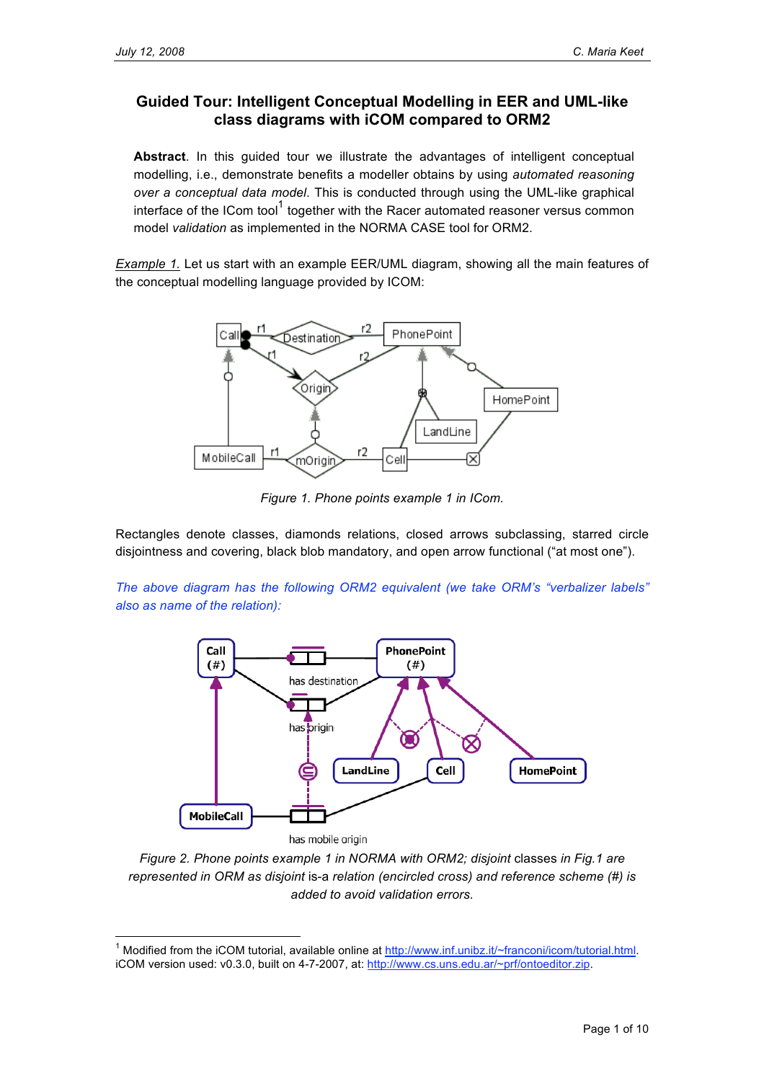## **Guided Tour: Intelligent Conceptual Modelling in EER and UML-like class diagrams with iCOM compared to ORM2**

**Abstract**. In this guided tour we illustrate the advantages of intelligent conceptual modelling, i.e., demonstrate benefits a modeller obtains by using *automated reasoning over a conceptual data model*. This is conducted through using the UML-like graphical interface of the ICom tool<sup>1</sup> together with the Racer automated reasoner versus common model *validation* as implemented in the NORMA CASE tool for ORM2.

*Example 1.* Let us start with an example EER/UML diagram, showing all the main features of the conceptual modelling language provided by ICOM:



*Figure 1. Phone points example 1 in ICom.*

Rectangles denote classes, diamonds relations, closed arrows subclassing, starred circle disjointness and covering, black blob mandatory, and open arrow functional ("at most one").

*The above diagram has the following ORM2 equivalent (we take ORM's "verbalizer labels" also as name of the relation):*



*Figure 2. Phone points example 1 in NORMA with ORM2; disjoint* classes *in Fig.1 are represented in ORM as disjoint* is-a *relation (encircled cross) and reference scheme (#) is added to avoid validation errors.*

<sup>&</sup>lt;sup>1</sup> Modified from the iCOM tutorial, available online at http://www.inf.unibz.it/~franconi/icom/tutorial.html. iCOM version used: v0.3.0, built on 4-7-2007, at: http://www.cs.uns.edu.ar/~prf/ontoeditor.zip.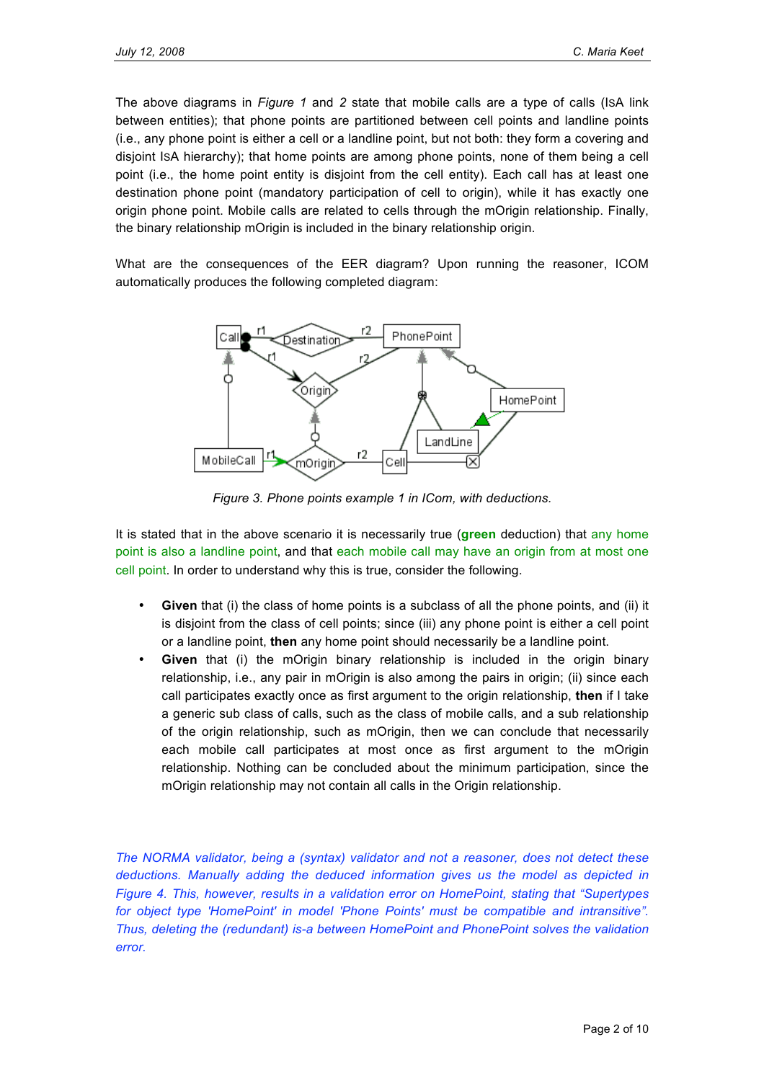The above diagrams in *Figure 1* and *2* state that mobile calls are a type of calls (ISA link between entities); that phone points are partitioned between cell points and landline points (i.e., any phone point is either a cell or a landline point, but not both: they form a covering and disjoint ISA hierarchy); that home points are among phone points, none of them being a cell point (i.e., the home point entity is disjoint from the cell entity). Each call has at least one destination phone point (mandatory participation of cell to origin), while it has exactly one origin phone point. Mobile calls are related to cells through the mOrigin relationship. Finally, the binary relationship mOrigin is included in the binary relationship origin.

What are the consequences of the EER diagram? Upon running the reasoner, ICOM automatically produces the following completed diagram:



*Figure 3. Phone points example 1 in ICom, with deductions.*

It is stated that in the above scenario it is necessarily true (**green** deduction) that any home point is also a landline point, and that each mobile call may have an origin from at most one cell point. In order to understand why this is true, consider the following.

- **Given** that (i) the class of home points is a subclass of all the phone points, and (ii) it is disjoint from the class of cell points; since (iii) any phone point is either a cell point or a landline point, **then** any home point should necessarily be a landline point.
- **Given** that (i) the mOrigin binary relationship is included in the origin binary relationship, i.e., any pair in mOrigin is also among the pairs in origin; (ii) since each call participates exactly once as first argument to the origin relationship, **then** if I take a generic sub class of calls, such as the class of mobile calls, and a sub relationship of the origin relationship, such as mOrigin, then we can conclude that necessarily each mobile call participates at most once as first argument to the mOrigin relationship. Nothing can be concluded about the minimum participation, since the mOrigin relationship may not contain all calls in the Origin relationship.

*The NORMA validator, being a (syntax) validator and not a reasoner, does not detect these deductions. Manually adding the deduced information gives us the model as depicted in Figure 4. This, however, results in a validation error on HomePoint, stating that "Supertypes for object type 'HomePoint' in model 'Phone Points' must be compatible and intransitive". Thus, deleting the (redundant) is-a between HomePoint and PhonePoint solves the validation error.*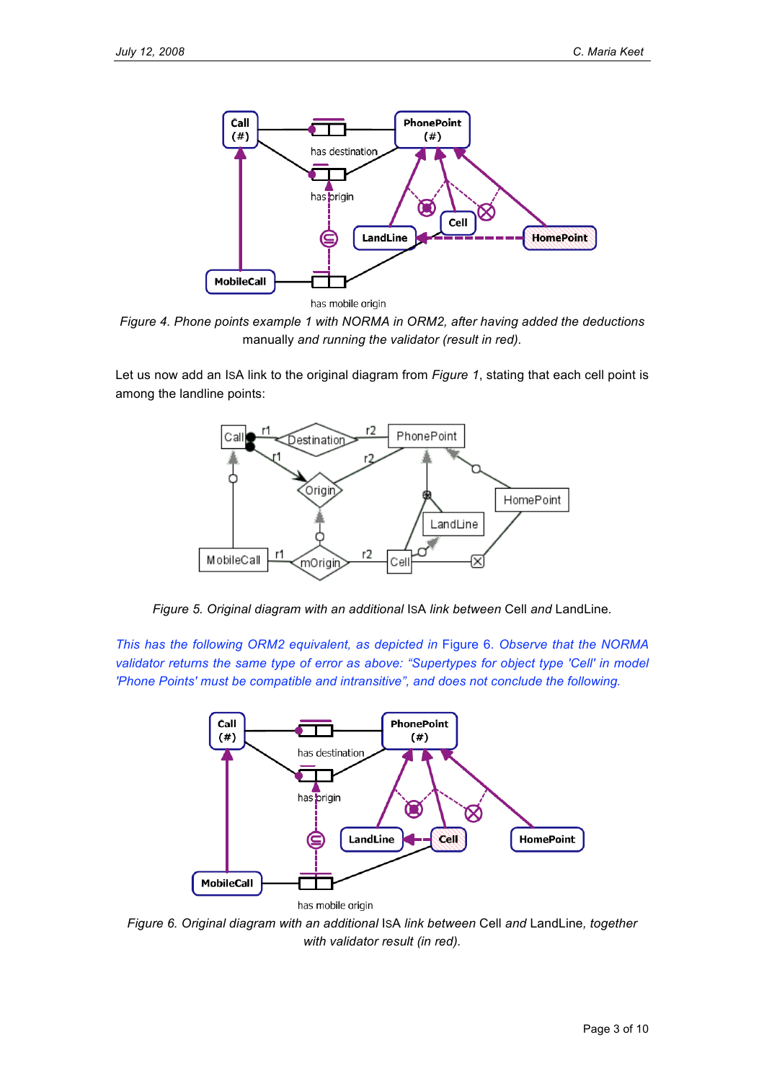

has mobile origin

*Figure 4. Phone points example 1 with NORMA in ORM2, after having added the deductions* manually *and running the validator (result in red).*

Let us now add an ISA link to the original diagram from *Figure 1*, stating that each cell point is among the landline points:



*Figure 5. Original diagram with an additional* ISA *link between* Cell *and* LandLine*.*

*This has the following ORM2 equivalent, as depicted in* Figure 6. *Observe that the NORMA validator returns the same type of error as above: "Supertypes for object type 'Cell' in model 'Phone Points' must be compatible and intransitive", and does not conclude the following.*



*Figure 6. Original diagram with an additional* ISA *link between* Cell *and* LandLine*, together with validator result (in red).*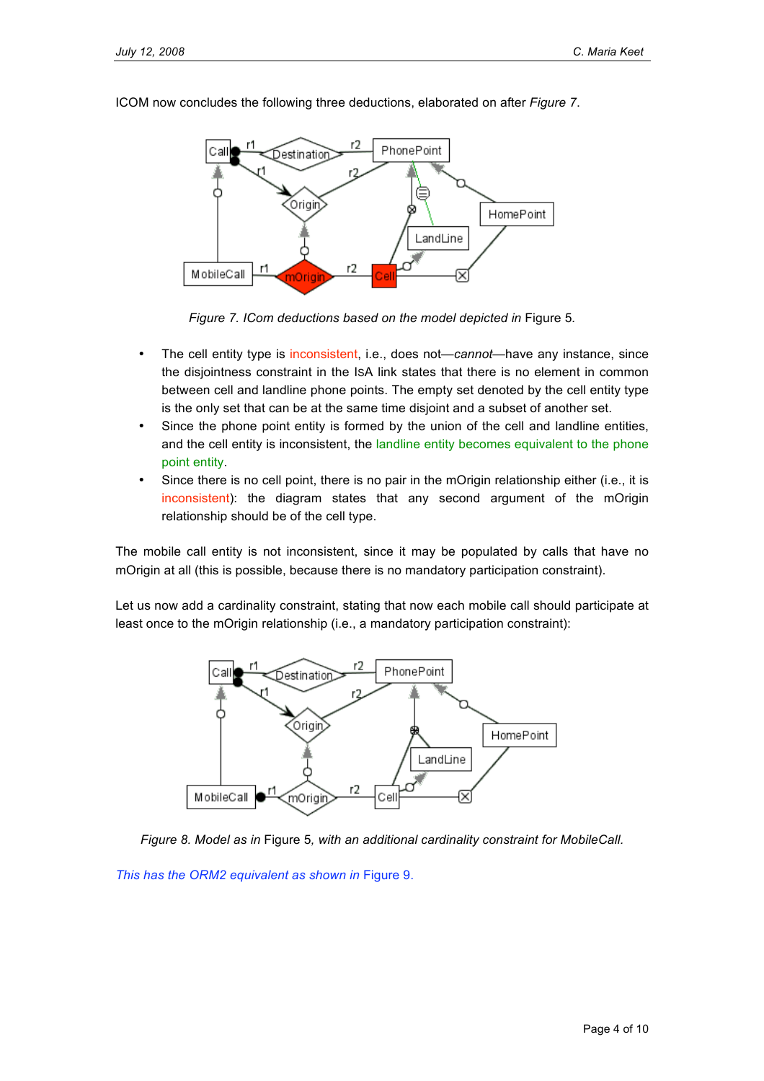

ICOM now concludes the following three deductions, elaborated on after *Figure 7*.

*Figure 7. ICom deductions based on the model depicted in* Figure 5*.*

- The cell entity type is inconsistent, i.e., does not—*cannot*—have any instance, since the disjointness constraint in the ISA link states that there is no element in common between cell and landline phone points. The empty set denoted by the cell entity type is the only set that can be at the same time disjoint and a subset of another set.
- Since the phone point entity is formed by the union of the cell and landline entities, and the cell entity is inconsistent, the landline entity becomes equivalent to the phone point entity.
- Since there is no cell point, there is no pair in the mOrigin relationship either (i.e., it is inconsistent): the diagram states that any second argument of the mOrigin relationship should be of the cell type.

The mobile call entity is not inconsistent, since it may be populated by calls that have no mOrigin at all (this is possible, because there is no mandatory participation constraint).

Let us now add a cardinality constraint, stating that now each mobile call should participate at least once to the mOrigin relationship (i.e., a mandatory participation constraint):



*Figure 8. Model as in* Figure 5*, with an additional cardinality constraint for MobileCall.*

*This has the ORM2 equivalent as shown in* Figure 9.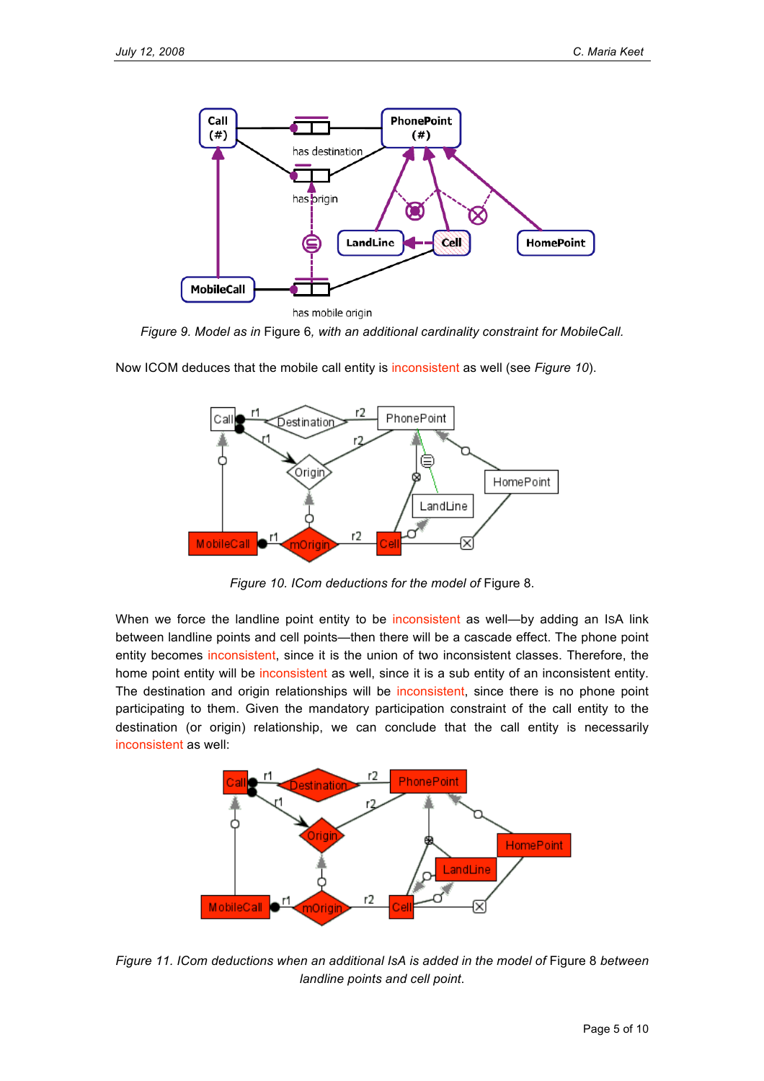

*Figure 9. Model as in* Figure 6*, with an additional cardinality constraint for MobileCall.*



Now ICOM deduces that the mobile call entity is inconsistent as well (see *Figure 10*).

*Figure 10. ICom deductions for the model of* Figure 8.

When we force the landline point entity to be inconsistent as well—by adding an ISA link between landline points and cell points—then there will be a cascade effect. The phone point entity becomes inconsistent, since it is the union of two inconsistent classes. Therefore, the home point entity will be inconsistent as well, since it is a sub entity of an inconsistent entity. The destination and origin relationships will be inconsistent, since there is no phone point participating to them. Given the mandatory participation constraint of the call entity to the destination (or origin) relationship, we can conclude that the call entity is necessarily inconsistent as well:



*Figure 11. ICom deductions when an additional IsA is added in the model of* Figure 8 *between landline points and cell point*.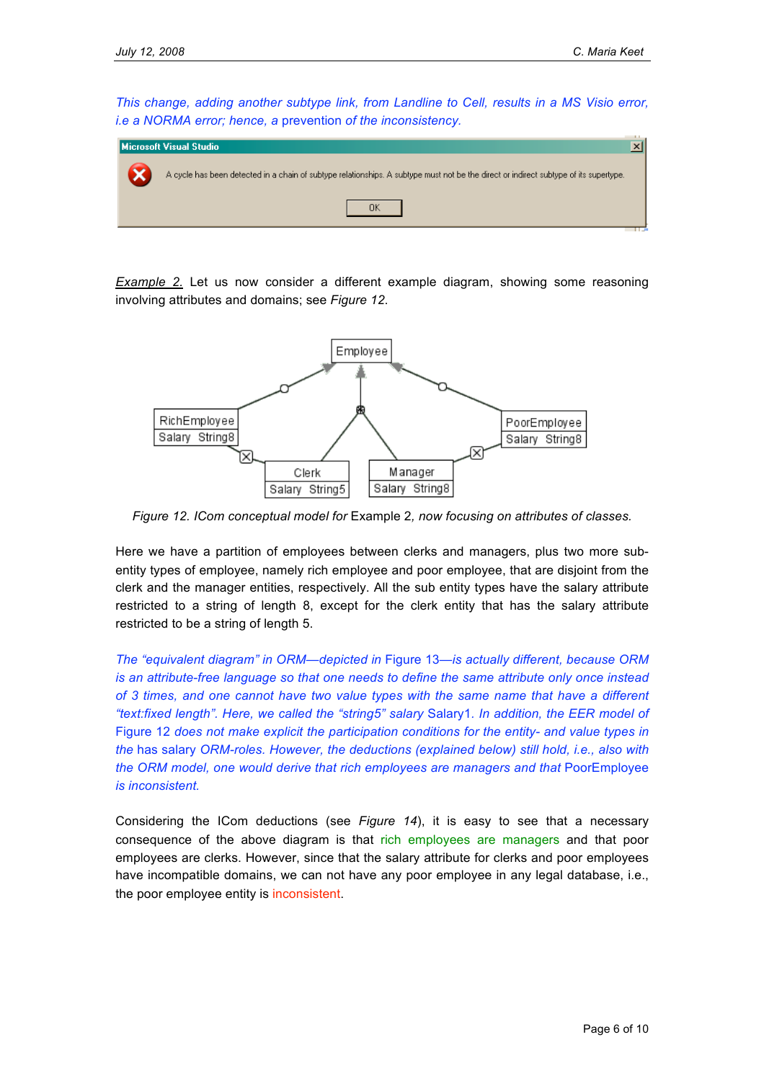*This change, adding another subtype link, from Landline to Cell, results in a MS Visio error, i.e a NORMA error; hence, a* prevention *of the inconsistency.*

| Microsoft Visual Studio                                                                                                               | $\boldsymbol{\mathsf{x}}$ |
|---------------------------------------------------------------------------------------------------------------------------------------|---------------------------|
| A cycle has been detected in a chain of subtype relationships. A subtype must not be the direct or indirect subtype of its supertype. |                           |
| ΩK                                                                                                                                    |                           |

*Example 2.* Let us now consider a different example diagram, showing some reasoning involving attributes and domains; see *Figure 12*.



*Figure 12. ICom conceptual model for* Example 2*, now focusing on attributes of classes.*

Here we have a partition of employees between clerks and managers, plus two more subentity types of employee, namely rich employee and poor employee, that are disjoint from the clerk and the manager entities, respectively. All the sub entity types have the salary attribute restricted to a string of length 8, except for the clerk entity that has the salary attribute restricted to be a string of length 5.

*The "equivalent diagram" in ORM—depicted in* Figure 13—*is actually different, because ORM is an attribute-free language so that one needs to define the same attribute only once instead of 3 times, and one cannot have two value types with the same name that have a different "text:fixed length". Here, we called the "string5" salary* Salary1*. In addition, the EER model of* Figure 12 *does not make explicit the participation conditions for the entity- and value types in the* has salary *ORM-roles. However, the deductions (explained below) still hold, i.e., also with the ORM model, one would derive that rich employees are managers and that* PoorEmployee *is inconsistent.*

Considering the ICom deductions (see *Figure 14*), it is easy to see that a necessary consequence of the above diagram is that rich employees are managers and that poor employees are clerks. However, since that the salary attribute for clerks and poor employees have incompatible domains, we can not have any poor employee in any legal database, i.e., the poor employee entity is inconsistent.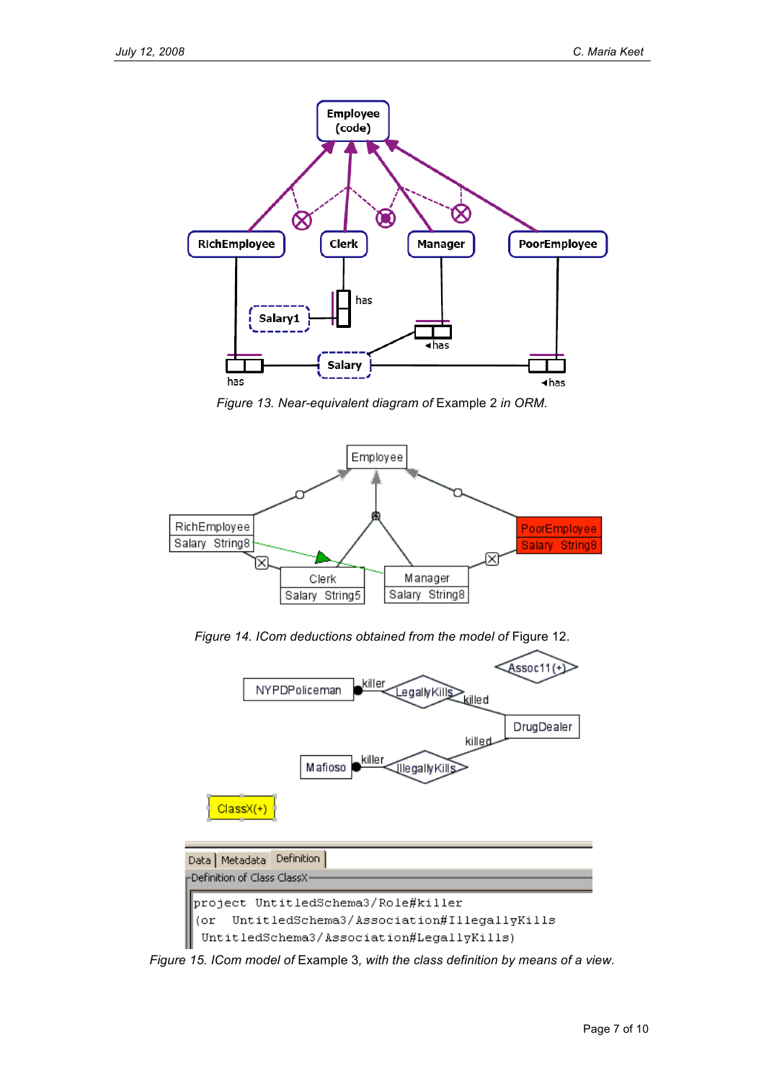

*Figure 13. Near-equivalent diagram of* Example 2 *in ORM.*



*Figure 14. ICom deductions obtained from the model of* Figure 12.



*Figure 15. ICom model of* Example 3*, with the class definition by means of a view.*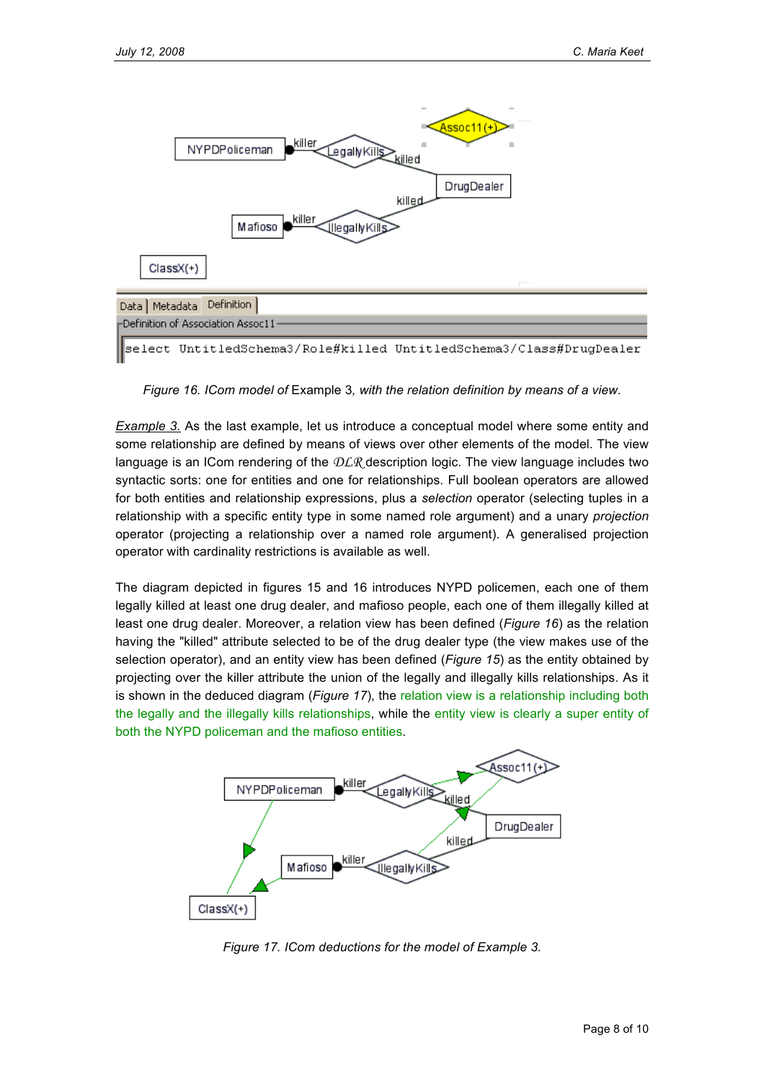

*Figure 16. ICom model of* Example 3*, with the relation definition by means of a view.*

*Example 3.* As the last example, let us introduce a conceptual model where some entity and some relationship are defined by means of views over other elements of the model. The view language is an ICom rendering of the  $DLR$  description logic. The view language includes two syntactic sorts: one for entities and one for relationships. Full boolean operators are allowed for both entities and relationship expressions, plus a *selection* operator (selecting tuples in a relationship with a specific entity type in some named role argument) and a unary *projection* operator (projecting a relationship over a named role argument). A generalised projection operator with cardinality restrictions is available as well.

The diagram depicted in figures 15 and 16 introduces NYPD policemen, each one of them legally killed at least one drug dealer, and mafioso people, each one of them illegally killed at least one drug dealer. Moreover, a relation view has been defined (*Figure 16*) as the relation having the "killed" attribute selected to be of the drug dealer type (the view makes use of the selection operator), and an entity view has been defined (*Figure 15*) as the entity obtained by projecting over the killer attribute the union of the legally and illegally kills relationships. As it is shown in the deduced diagram (*Figure 17*), the relation view is a relationship including both the legally and the illegally kills relationships, while the entity view is clearly a super entity of both the NYPD policeman and the mafioso entities.



*Figure 17. ICom deductions for the model of Example 3.*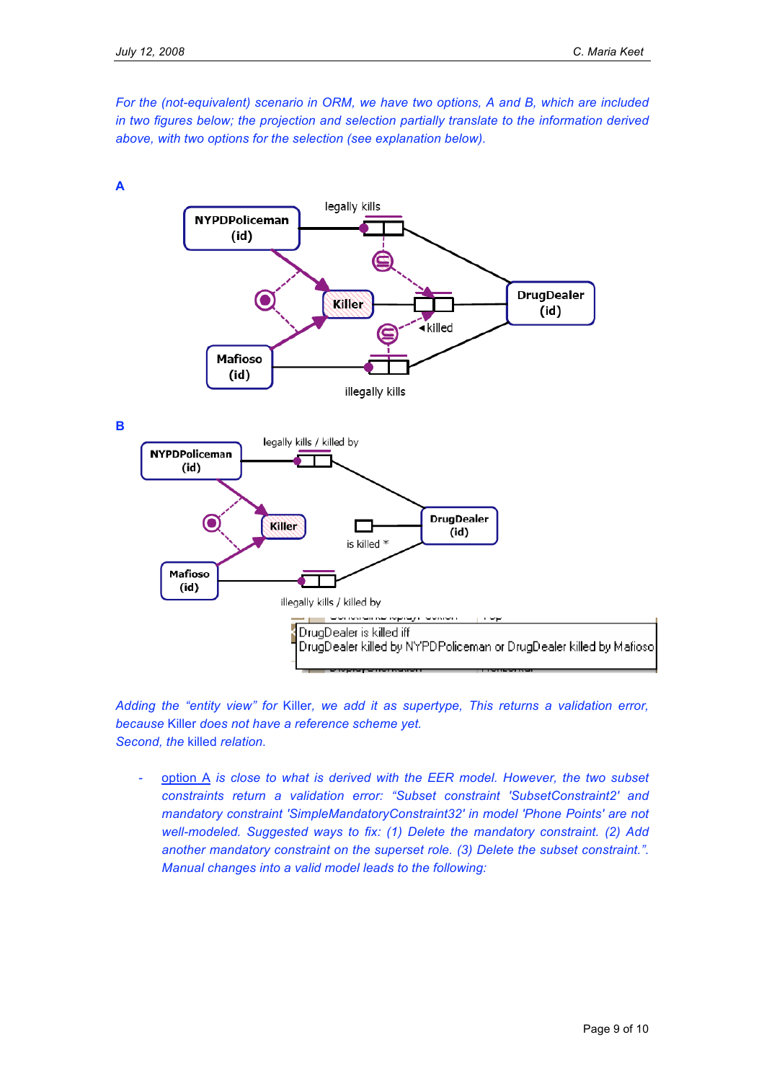*For the (not-equivalent) scenario in ORM, we have two options, A and B, which are included in two figures below; the projection and selection partially translate to the information derived above, with two options for the selection (see explanation below).*



*Adding the "entity view" for* Killer*, we add it as supertype, This returns a validation error, because* Killer *does not have a reference scheme yet. Second, the* killed *relation.*

- option A *is close to what is derived with the EER model. However, the two subset constraints return a validation error: "Subset constraint 'SubsetConstraint2' and mandatory constraint 'SimpleMandatoryConstraint32' in model 'Phone Points' are not well-modeled. Suggested ways to fix: (1) Delete the mandatory constraint. (2) Add another mandatory constraint on the superset role. (3) Delete the subset constraint."*. *Manual changes into a valid model leads to the following:*